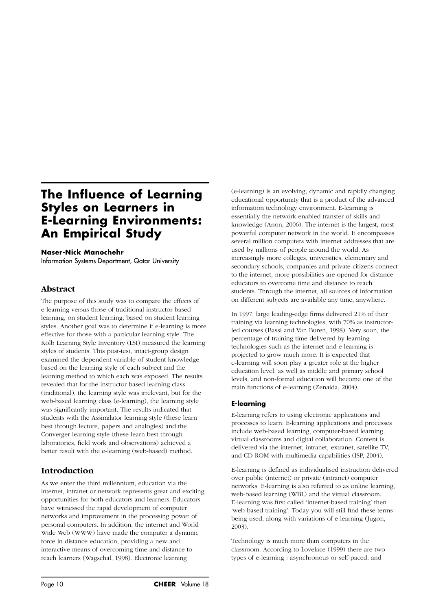# **The Influence of Learning Styles on Learners in E-Learning Environments: An Empirical Study**

#### **Naser-Nick Manochehr**

Information Systems Department, Qatar University

#### **Abstract**

The purpose of this study was to compare the effects of e-learning versus those of traditional instructor-based learning, on student learning, based on student learning styles. Another goal was to determine if e-learning is more effective for those with a particular learning style. The Kolb Learning Style Inventory (LSI) measured the learning styles of students. This post-test, intact-group design examined the dependent variable of student knowledge based on the learning style of each subject and the learning method to which each was exposed. The results revealed that for the instructor-based learning class (traditional), the learning style was irrelevant, but for the web-based learning class (e-learning), the learning style was significantly important. The results indicated that students with the Assimilator learning style (these learn best through lecture, papers and analogies) and the Converger learning style (these learn best through laboratories, field work and observations) achieved a better result with the e-learning (web-based) method.

## **Introduction**

As we enter the third millennium, education via the internet, intranet or network represents great and exciting opportunities for both educators and learners. Educators have witnessed the rapid development of computer networks and improvement in the processing power of personal computers. In addition, the internet and World Wide Web (WWW) have made the computer a dynamic force in distance education, providing a new and interactive means of overcoming time and distance to reach learners (Wagschal, 1998). Electronic learning

(e-learning) is an evolving, dynamic and rapidly changing educational opportunity that is a product of the advanced information technology environment. E-learning is essentially the network-enabled transfer of skills and knowledge (Anon, 2006). The internet is the largest, most powerful computer network in the world. It encompasses several million computers with internet addresses that are used by millions of people around the world. As increasingly more colleges, universities, elementary and secondary schools, companies and private citizens connect to the internet, more possibilities are opened for distance educators to overcome time and distance to reach students. Through the internet, all sources of information on different subjects are available any time, anywhere.

In 1997, large leading-edge firms delivered 21% of their training via learning technologies, with 70% as instructorled courses (Bassi and Van Buren, 1998). Very soon, the percentage of training time delivered by learning technologies such as the internet and e-learning is projected to grow much more. It is expected that e-learning will soon play a greater role at the higher education level, as well as middle and primary school levels, and non-formal education will become one of the main functions of e-learning (Zenaida, 2004).

#### **E-learning**

E-learning refers to using electronic applications and processes to learn. E-learning applications and processes include web-based learning, computer-based learning, virtual classrooms and digital collaboration. Content is delivered via the internet, intranet, extranet, satellite TV, and CD-ROM with multimedia capabilities (ISP, 2004).

E-learning is defined as individualised instruction delivered over public (internet) or private (intranet) computer networks. E-learning is also referred to as online learning, web-based learning (WBL) and the virtual classroom. E-learning was first called 'internet-based training' then 'web-based training'. Today you will still find these terms being used, along with variations of e-learning (Jugon, 2003).

Technology is much more than computers in the classroom. According to Lovelace (1999) there are two types of e-learning : asynchronous or self-paced, and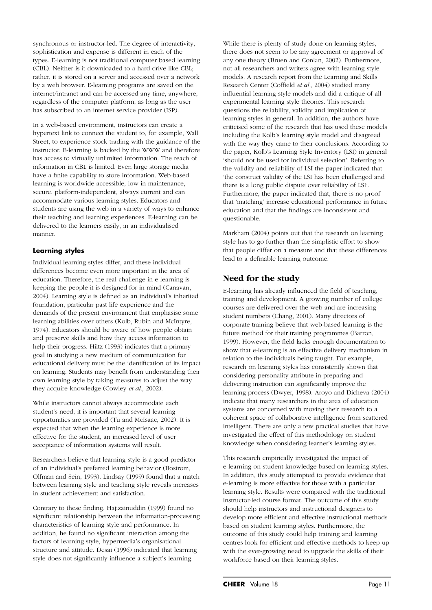synchronous or instructor-led. The degree of interactivity, sophistication and expense is different in each of the types. E-learning is not traditional computer based learning (CBL). Neither is it downloaded to a hard drive like CBL; rather, it is stored on a server and accessed over a network by a web browser. E-learning programs are saved on the internet/intranet and can be accessed any time, anywhere, regardless of the computer platform, as long as the user has subscribed to an internet service provider (ISP).

In a web-based environment, instructors can create a hypertext link to connect the student to, for example, Wall Street, to experience stock trading with the guidance of the instructor. E-learning is backed by the WWW and therefore has access to virtually unlimited information. The reach of information in CBL is limited. Even large storage media have a finite capability to store information. Web-based learning is worldwide accessible, low in maintenance, secure, platform-independent, always current and can accommodate various learning styles. Educators and students are using the web in a variety of ways to enhance their teaching and learning experiences. E-learning can be delivered to the learners easily, in an individualised manner.

#### **Learning styles**

Individual learning styles differ, and these individual differences become even more important in the area of education. Therefore, the real challenge in e-learning is keeping the people it is designed for in mind (Canavan, 2004). Learning style is defined as an individual's inherited foundation, particular past life experience and the demands of the present environment that emphasise some learning abilities over others (Kolb, Rubin and McIntyre, 1974). Educators should be aware of how people obtain and preserve skills and how they access information to help their progress. Hiltz (1993) indicates that a primary goal in studying a new medium of communication for educational delivery must be the identification of its impact on learning. Students may benefit from understanding their own learning style by taking measures to adjust the way they acquire knowledge (Cowley *et al*., 2002).

While instructors cannot always accommodate each student's need, it is important that several learning opportunities are provided (Tu and McIsaac, 2002). It is expected that when the learning experience is more effective for the student, an increased level of user acceptance of information systems will result.

Researchers believe that learning style is a good predictor of an individual's preferred learning behavior (Bostrom, Olfman and Sein, 1993). Lindsay (1999) found that a match between learning style and teaching style reveals increases in student achievement and satisfaction.

Contrary to these finding, Hajizainuddin (1999) found no significant relationship between the information-processing characteristics of learning style and performance. In addition, he found no significant interaction among the factors of learning style, hypermedia's organisational structure and attitude. Desai (1996) indicated that learning style does not significantly influence a subject's learning.

While there is plenty of study done on learning styles, there does not seem to be any agreement or approval of any one theory (Bruen and Conlan, 2002). Furthermore, not all researchers and writers agree with learning style models. A research report from the Learning and Skills Research Center (Coffield *et al.*, 2004) studied many influential learning style models and did a critique of all experimental learning style theories. This research questions the reliability, validity and implication of learning styles in general. In addition, the authors have criticised some of the research that has used these models including the Kolb's learning style model and disagreed with the way they came to their conclusions. According to the paper, Kolb's Learning Style Inventory (LSI) in general 'should not be used for individual selection'. Referring to the validity and reliability of LSI the paper indicated that 'the construct validity of the LSI has been challenged and there is a long public dispute over reliability of LSI'. Furthermore, the paper indicated that, there is no proof that 'matching' increase educational performance in future education and that the findings are inconsistent and questionable.

Markham (2004) points out that the research on learning style has to go further than the simplistic effort to show that people differ on a measure and that these differences lead to a definable learning outcome.

# **Need for the study**

E-learning has already influenced the field of teaching, training and development. A growing number of college courses are delivered over the web and are increasing student numbers (Chang, 2001). Many directors of corporate training believe that web-based learning is the future method for their training programmes (Barron, 1999). However, the field lacks enough documentation to show that e-learning is an effective delivery mechanism in relation to the individuals being taught. For example, research on learning styles has consistently shown that considering personality attribute in preparing and delivering instruction can significantly improve the learning process (Dwyer, 1998). Aroyo and Dicheva (2004) indicate that many researchers in the area of education systems are concerned with moving their research to a coherent space of collaborative intelligence from scattered intelligent. There are only a few practical studies that have investigated the effect of this methodology on student knowledge when considering learner's learning styles.

This research empirically investigated the impact of e-learning on student knowledge based on learning styles. In addition, this study attempted to provide evidence that e-learning is more effective for those with a particular learning style. Results were compared with the traditional instructor-led course format. The outcome of this study should help instructors and instructional designers to develop more efficient and effective instructional methods based on student learning styles. Furthermore, the outcome of this study could help training and learning centres look for efficient and effective methods to keep up with the ever-growing need to upgrade the skills of their workforce based on their learning styles.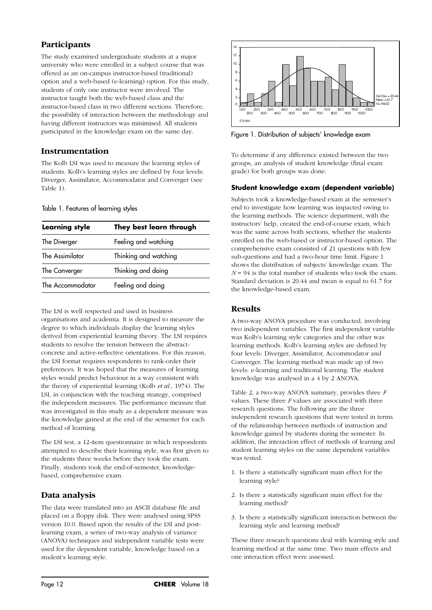# **Participants**

The study examined undergraduate students at a major university who were enrolled in a subject course that was offered as an on-campus instructor-based (traditional) option and a web-based (e-learning) option. For this study, students of only one instructor were involved. The instructor taught both the web-based class and the instructor-based class in two different sections. Therefore, the possibility of interaction between the methodology and having different instructors was minimised. All students participated in the knowledge exam on the same day.

## **Instrumentation**

The Kolb LSI was used to measure the learning styles of students. Kolb's learning styles are defined by four levels: Diverger, Assimilator, Accommodator and Converger (see Table 1).

#### Table 1. Features of learning styles

| <b>Learning style</b> | They best learn through |  |  |
|-----------------------|-------------------------|--|--|
| The Diverger          | Feeling and watching    |  |  |
| The Assimilator       | Thinking and watching   |  |  |
| The Converger         | Thinking and doing      |  |  |
| The Accommodator      | Feeling and doing       |  |  |
|                       |                         |  |  |

The LSI is well respected and used in business organisations and academia. It is designed to measure the degree to which individuals display the learning styles derived from experiential learning theory. The LSI requires students to resolve the tension between the abstractconcrete and active-reflective orientations. For this reason, the LSI format requires respondents to rank-order their preferences. It was hoped that the measures of learning styles would predict behaviour in a way consistent with the theory of experiential learning (Kolb *et al.*, 1974). The LSI, in conjunction with the teaching strategy, comprised the independent measures. The performance measure that was investigated in this study as a dependent measure was the knowledge gained at the end of the semester for each method of learning.

The LSI test, a 12-item questionnaire in which respondents attempted to describe their learning style, was first given to the students three weeks before they took the exam. Finally, students took the end-of-semester, knowledgebased, comprehensive exam.

# **Data analysis**

The data were translated into an ASCII database file and placed on a floppy disk. They were analysed using SPSS version 10.0. Based upon the results of the LSI and postlearning exam, a series of two-way analysis of variance (ANOVA) techniques and independent variable tests were used for the dependent variable, knowledge based on a student's learning style.



Figure 1. Distribution of subjects' knowledge exam

To determine if any difference existed between the two groups, an analysis of student knowledge (final exam grade) for both groups was done.

#### **Student knowledge exam (dependent variable)**

Subjects took a knowledge-based exam at the semester's end to investigate how learning was impacted owing to the learning methods. The science department, with the instructors' help, created the end-of-course exam, which was the same across both sections, whether the students enrolled on the web-based or instructor-based option. The comprehensive exam consisted of 21 questions with few sub-questions and had a two-hour time limit. Figure 1 shows the distribution of subjects' knowledge exam. The  $N = 94$  is the total number of students who took the exam. Standard deviation is 20.44 and mean is equal to 61.7 for the knowledge-based exam.

# **Results**

A two-way ANOVA procedure was conducted, involving two independent variables. The first independent variable was Kolb's learning style categories and the other was learning methods. Kolb's learning styles are defined by four levels: Diverger, Assimilator, Accommodator and Converger. The learning method was made up of two levels: e-learning and traditional learning. The student knowledge was analysed in a 4 by 2 ANOVA.

Table 2, a two-way ANOVA summary, provides three *F* values. These three *F* values are associated with three research questions. The following are the three independent research questions that were tested in terms of the relationship between methods of instruction and knowledge gained by students during the semester. In addition, the interaction effect of methods of learning and student learning styles on the same dependent variables was tested.

- 1. Is there a statistically significant main effect for the learning style?
- 2. Is there a statistically significant main effect for the learning method?
- 3. Is there a statistically significant interaction between the learning style and learning method?

These three research questions deal with learning style and learning method at the same time. Two main effects and one interaction effect were assessed.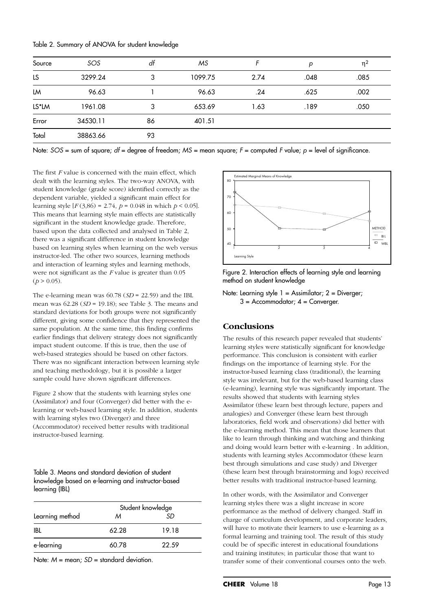| Table 2. Summary of ANOVA for student knowledge |  |  |
|-------------------------------------------------|--|--|
|-------------------------------------------------|--|--|

| Source | SOS      | df | МS      |      | р    | $\eta^2$ |
|--------|----------|----|---------|------|------|----------|
| LS     | 3299.24  | 3  | 1099.75 | 2.74 | .048 | .085     |
| LM     | 96.63    |    | 96.63   | .24  | .625 | .002     |
| LS*LM  | 1961.08  | 3  | 653.69  | 1.63 | .189 | .050     |
| Error  | 34530.11 | 86 | 401.51  |      |      |          |
| Total  | 38863.66 | 93 |         |      |      |          |

Note: *SOS* = sum of square; *df* = degree of freedom; *MS* = mean square; *F* = computed *F* value; *p* = level of significance.

The first *F* value is concerned with the main effect, which dealt with the learning styles. The two-way ANOVA, with student knowledge (grade score) identified correctly as the dependent variable, yielded a significant main effect for learning style  $[F(3,86) = 2.74, p = 0.048$  in which  $p < 0.05$ . This means that learning style main effects are statistically significant in the student knowledge grade. Therefore, based upon the data collected and analysed in Table 2, there was a significant difference in student knowledge based on learning styles when learning on the web versus instructor-led. The other two sources, learning methods and interaction of learning styles and learning methods, were not significant as the *F* value is greater than 0.05  $(p > 0.05)$ .

The e-learning mean was 60.78 (*SD* = 22.59) and the IBL mean was 62.28 (*SD* = 19.18); see Table 3. The means and standard deviations for both groups were not significantly different, giving some confidence that they represented the same population. At the same time, this finding confirms earlier findings that delivery strategy does not significantly impact student outcome. If this is true, then the use of web-based strategies should be based on other factors. There was no significant interaction between learning style and teaching methodology, but it is possible a larger sample could have shown significant differences.

Figure 2 show that the students with learning styles one (Assimilator) and four (Converger) did better with the elearning or web-based learning style. In addition, students with learning styles two (Diverger) and three (Accommodator) received better results with traditional instructor-based learning.

Table 3. Means and standard deviation of student knowledge based on e-learning and instructor-based learning (IBL)

|                 | Student knowledge |       |  |
|-----------------|-------------------|-------|--|
| Learning method | м                 | .SD   |  |
| IBL             | 62.28             | 19.18 |  |
| e-learning      | 60.78             | 22.59 |  |

Note: *M* = mean; *SD* = standard deviation.



Figure 2. Interaction effects of learning style and learning method on student knowledge

Note: Learning style 1 = Assimilator; 2 = Diverger;  $3 =$  Accommodator:  $4 =$  Converger.

## **Conclusions**

The results of this research paper revealed that students' learning styles were statistically significant for knowledge performance. This conclusion is consistent with earlier findings on the importance of learning style. For the instructor-based learning class (traditional), the learning style was irrelevant, but for the web-based learning class (e-learning), learning style was significantly important. The results showed that students with learning styles Assimilator (these learn best through lecture, papers and analogies) and Converger (these learn best through laboratories, field work and observations) did better with the e-learning method. This mean that those learners that like to learn through thinking and watching and thinking and doing would learn better with e-learning . In addition, students with learning styles Accommodator (these learn best through simulations and case study) and Diverger (these learn best through brainstorming and logs) received better results with traditional instructor-based learning.

In other words, with the Assimilator and Converger learning styles there was a slight increase in score performance as the method of delivery changed. Staff in charge of curriculum development, and corporate leaders, will have to motivate their learners to use e-learning as a formal learning and training tool. The result of this study could be of specific interest in educational foundations and training institutes; in particular those that want to transfer some of their conventional courses onto the web.